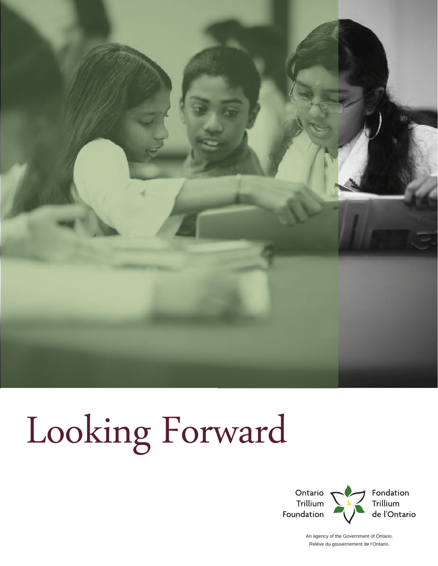

# Looking Forward



An agency of the Government of Ontario. Relève du gouvernement de l'Ontario.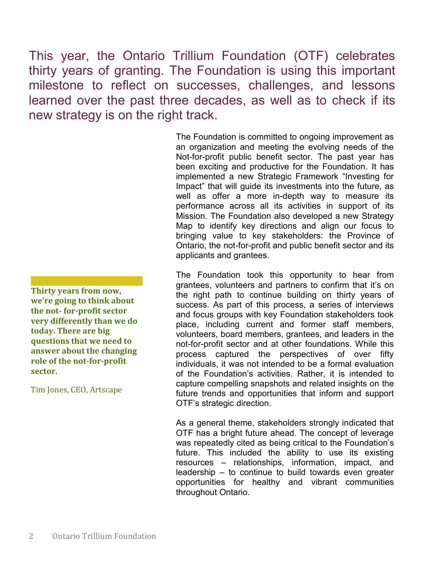This year, the Ontario Trillium Foundation (OTF) celebrates thirty years of granting. The Foundation is using this important milestone to reflect on successes, challenges, and lessons learned over the past three decades, as well as to check if its new strategy is on the right track.

> The Foundation is committed to ongoing improvement as an organization and meeting the evolving needs of the Not-for-profit public benefit sector. The past year has been exciting and productive for the Foundation. It has implemented a new Strategic Framework "Investing for Impact" that will guide its investments into the future, as well as offer a more in-depth way to measure its performance across all its activities in support of its Mission. The Foundation also developed a new Strategy Map to identify key directions and align our focus to bringing value to key stakeholders: the Province of Ontario, the not-for-profit and public benefit sector and its applicants and grantees.

The Foundation took this opportunity to hear from grantees, volunteers and partners to confirm that it's on the right path to continue building on thirty years of success. As part of this process, a series of interviews and focus groups with key Foundation stakeholders took place, including current and former staff members, volunteers, board members, grantees, and leaders in the not-for-profit sector and at other foundations. While this process captured the perspectives of over fifty individuals, it was not intended to be a formal evaluation of the Foundation's activities. Rather, it is intended to capture compelling snapshots and related insights on the future trends and opportunities that inform and support OTF's strategic direction.

As a general theme, stakeholders strongly indicated that OTF has a bright future ahead. The concept of leverage was repeatedly cited as being critical to the Foundation's future. This included the ability to use its existing resources – relationships, information, impact, and leadership – to continue to build towards even greater opportunities for healthy and vibrant communities throughout Ontario.

**Thirty years from now, we're going to think about the not- for-profit sector very differently than we do today. There are big questions that we need to answer about the changing role of the not-for-profit sector.**

Tim Jones, CEO, Artscape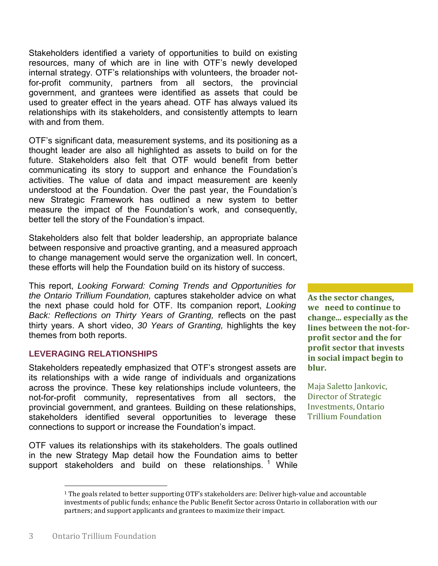Stakeholders identified a variety of opportunities to build on existing resources, many of which are in line with OTF's newly developed internal strategy. OTF's relationships with volunteers, the broader notfor-profit community, partners from all sectors, the provincial government, and grantees were identified as assets that could be used to greater effect in the years ahead. OTF has always valued its relationships with its stakeholders, and consistently attempts to learn with and from them.

OTF's significant data, measurement systems, and its positioning as a thought leader are also all highlighted as assets to build on for the future. Stakeholders also felt that OTF would benefit from better communicating its story to support and enhance the Foundation's activities. The value of data and impact measurement are keenly understood at the Foundation. Over the past year, the Foundation's new Strategic Framework has outlined a new system to better measure the impact of the Foundation's work, and consequently, better tell the story of the Foundation's impact.

Stakeholders also felt that bolder leadership, an appropriate balance between responsive and proactive granting, and a measured approach to change management would serve the organization well. In concert, these efforts will help the Foundation build on its history of success.

This report, *Looking Forward: Coming Trends and Opportunities for the Ontario Trillium Foundation,* captures stakeholder advice on what the next phase could hold for OTF. Its companion report, *Looking Back: Reflections on Thirty Years of Granting,* reflects on the past thirty years. A short video, *30 Years of Granting,* highlights the key themes from both reports.

# **LEVERAGING RELATIONSHIPS**

Stakeholders repeatedly emphasized that OTF's strongest assets are its relationships with a wide range of individuals and organizations across the province. These key relationships include volunteers, the not-for-profit community, representatives from all sectors, the provincial government, and grantees. Building on these relationships, stakeholders identified several opportunities to leverage these connections to support or increase the Foundation's impact.

OTF values its relationships with its stakeholders. The goals outlined in the new Strategy Map detail how the Foundation aims to better support stakeholders and build on these relationships.  $1$  While **As the sector changes, we need to continue to change... especially as the lines between the not-forprofit sector and the for profit sector that invests in social impact begin to blur.**

Maja Saletto Jankovic, Director of Strategic Investments, Ontario Trillium Foundation

 $\overline{\phantom{a}}$ 

 $1$  The goals related to better supporting OTF's stakeholders are: Deliver high-value and accountable investments of public funds; enhance the Public Benefit Sector across Ontario in collaboration with our partners; and support applicants and grantees to maximize their impact.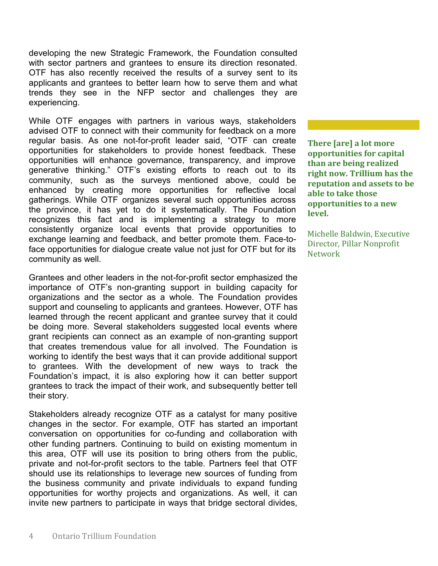developing the new Strategic Framework, the Foundation consulted with sector partners and grantees to ensure its direction resonated. OTF has also recently received the results of a survey sent to its applicants and grantees to better learn how to serve them and what trends they see in the NFP sector and challenges they are experiencing.

While OTF engages with partners in various ways, stakeholders advised OTF to connect with their community for feedback on a more regular basis. As one not-for-profit leader said, "OTF can create opportunities for stakeholders to provide honest feedback. These opportunities will enhance governance, transparency, and improve generative thinking." OTF's existing efforts to reach out to its community, such as the surveys mentioned above, could be enhanced by creating more opportunities for reflective local gatherings. While OTF organizes several such opportunities across the province, it has yet to do it systematically. The Foundation recognizes this fact and is implementing a strategy to more consistently organize local events that provide opportunities to exchange learning and feedback, and better promote them. Face-toface opportunities for dialogue create value not just for OTF but for its community as well.

Grantees and other leaders in the not-for-profit sector emphasized the importance of OTF's non-granting support in building capacity for organizations and the sector as a whole. The Foundation provides support and counseling to applicants and grantees. However, OTF has learned through the recent applicant and grantee survey that it could be doing more. Several stakeholders suggested local events where grant recipients can connect as an example of non-granting support that creates tremendous value for all involved. The Foundation is working to identify the best ways that it can provide additional support to grantees. With the development of new ways to track the Foundation's impact, it is also exploring how it can better support grantees to track the impact of their work, and subsequently better tell their story.

Stakeholders already recognize OTF as a catalyst for many positive changes in the sector. For example, OTF has started an important conversation on opportunities for co-funding and collaboration with other funding partners. Continuing to build on existing momentum in this area, OTF will use its position to bring others from the public, private and not-for-profit sectors to the table. Partners feel that OTF should use its relationships to leverage new sources of funding from the business community and private individuals to expand funding opportunities for worthy projects and organizations. As well, it can invite new partners to participate in ways that bridge sectoral divides,

**There [are] a lot more opportunities for capital than are being realized right now. Trillium has the reputation and assets to be able to take those opportunities to a new level.**

Michelle Baldwin, Executive Director, Pillar Nonprofit Network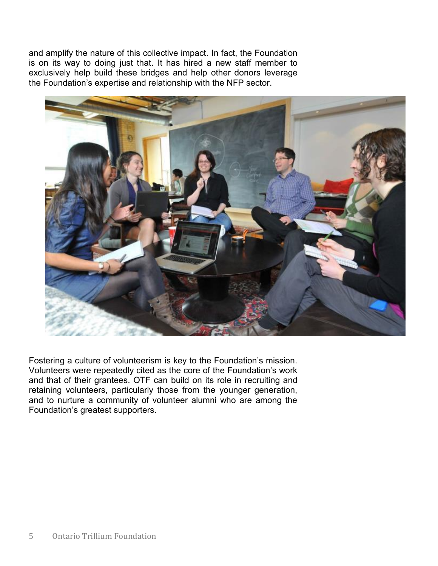and amplify the nature of this collective impact. In fact, the Foundation is on its way to doing just that. It has hired a new staff member to exclusively help build these bridges and help other donors leverage the Foundation's expertise and relationship with the NFP sector.



Fostering a culture of volunteerism is key to the Foundation's mission. Volunteers were repeatedly cited as the core of the Foundation's work and that of their grantees. OTF can build on its role in recruiting and retaining volunteers, particularly those from the younger generation, and to nurture a community of volunteer alumni who are among the Foundation's greatest supporters.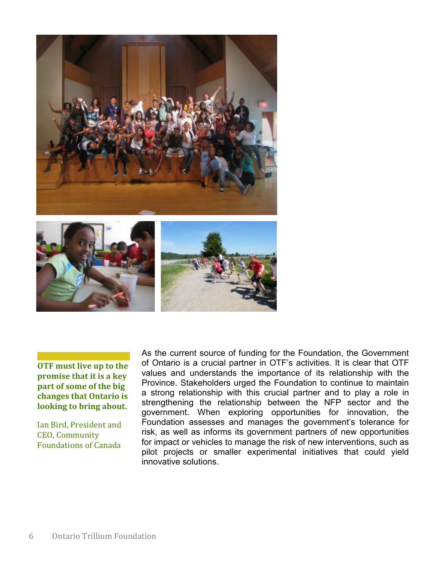

**OTF must live up to the promise that it is a key part of some of the big changes that Ontario is looking to bring about.**

Ian Bird, President and CEO, Community Foundations of Canada

As the current source of funding for the Foundation, the Government of Ontario is a crucial partner in OTF's activities. It is clear that OTF values and understands the importance of its relationship with the Province. Stakeholders urged the Foundation to continue to maintain a strong relationship with this crucial partner and to play a role in strengthening the relationship between the NFP sector and the government. When exploring opportunities for innovation, the Foundation assesses and manages the government's tolerance for risk, as well as informs its government partners of new opportunities for impact or vehicles to manage the risk of new interventions, such as pilot projects or smaller experimental initiatives that could yield innovative solutions.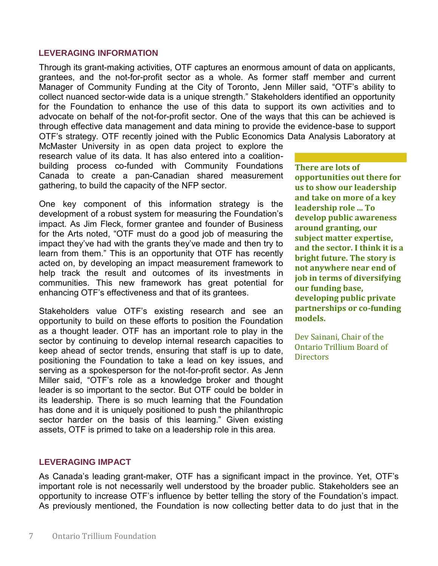### **LEVERAGING INFORMATION**

Through its grant-making activities, OTF captures an enormous amount of data on applicants, grantees, and the not-for-profit sector as a whole. As former staff member and current Manager of Community Funding at the City of Toronto, Jenn Miller said, "OTF's ability to collect nuanced sector-wide data is a unique strength." Stakeholders identified an opportunity for the Foundation to enhance the use of this data to support its own activities and to advocate on behalf of the not-for-profit sector. One of the ways that this can be achieved is through effective data management and data mining to provide the evidence-base to support OTF's strategy. OTF recently joined with the Public Economics Data Analysis Laboratory at

McMaster University in as open data project to explore the research value of its data. It has also entered into a coalitionbuilding process co-funded with Community Foundations Canada to create a pan-Canadian shared measurement gathering, to build the capacity of the NFP sector.

One key component of this information strategy is the development of a robust system for measuring the Foundation's impact. As Jim Fleck, former grantee and founder of Business for the Arts noted, "OTF must do a good job of measuring the impact they've had with the grants they've made and then try to learn from them." This is an opportunity that OTF has recently acted on, by developing an impact measurement framework to help track the result and outcomes of its investments in communities. This new framework has great potential for enhancing OTF's effectiveness and that of its grantees.

Stakeholders value OTF's existing research and see an opportunity to build on these efforts to position the Foundation as a thought leader. OTF has an important role to play in the sector by continuing to develop internal research capacities to keep ahead of sector trends, ensuring that staff is up to date, positioning the Foundation to take a lead on key issues, and serving as a spokesperson for the not-for-profit sector. As Jenn Miller said, "OTF's role as a knowledge broker and thought leader is so important to the sector. But OTF could be bolder in its leadership. There is so much learning that the Foundation has done and it is uniquely positioned to push the philanthropic sector harder on the basis of this learning." Given existing assets, OTF is primed to take on a leadership role in this area.

**There are lots of opportunities out there for us to show our leadership and take on more of a key leadership role ... To develop public awareness around granting, our subject matter expertise, and the sector. I think it is a bright future. The story is not anywhere near end of job in terms of diversifying our funding base, developing public private partnerships or co-funding models.** 

Dev Sainani, Chair of the Ontario Trillium Board of **Directors** 

### **LEVERAGING IMPACT**

As Canada's leading grant-maker, OTF has a significant impact in the province. Yet, OTF's important role is not necessarily well understood by the broader public. Stakeholders see an opportunity to increase OTF's influence by better telling the story of the Foundation's impact. As previously mentioned, the Foundation is now collecting better data to do just that in the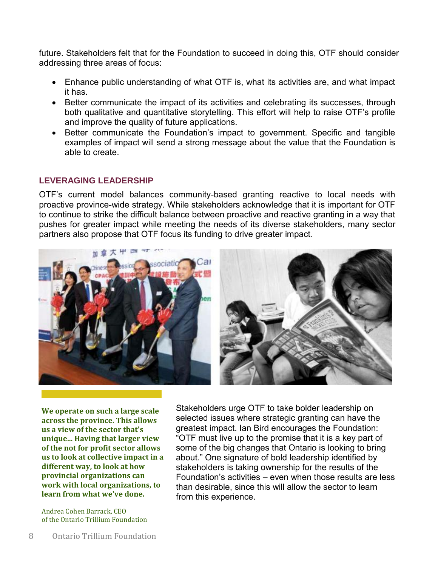future. Stakeholders felt that for the Foundation to succeed in doing this, OTF should consider addressing three areas of focus:

- Enhance public understanding of what OTF is, what its activities are, and what impact it has.
- Better communicate the impact of its activities and celebrating its successes, through both qualitative and quantitative storytelling. This effort will help to raise OTF's profile and improve the quality of future applications.
- Better communicate the Foundation's impact to government. Specific and tangible examples of impact will send a strong message about the value that the Foundation is able to create.

## **LEVERAGING LEADERSHIP**

OTF's current model balances community-based granting reactive to local needs with proactive province-wide strategy. While stakeholders acknowledge that it is important for OTF to continue to strike the difficult balance between proactive and reactive granting in a way that pushes for greater impact while meeting the needs of its diverse stakeholders, many sector partners also propose that OTF focus its funding to drive greater impact.



**We operate on such a large scale across the province. This allows us a view of the sector that's unique... Having that larger view of the not for profit sector allows us to look at collective impact in a different way, to look at how provincial organizations can work with local organizations, to learn from what we've done.**

Andrea Cohen Barrack, CEO of the Ontario Trillium Foundation

Stakeholders urge OTF to take bolder leadership on selected issues where strategic granting can have the greatest impact. Ian Bird encourages the Foundation: "OTF must live up to the promise that it is a key part of some of the big changes that Ontario is looking to bring about." One signature of bold leadership identified by stakeholders is taking ownership for the results of the Foundation's activities – even when those results are less than desirable, since this will allow the sector to learn from this experience.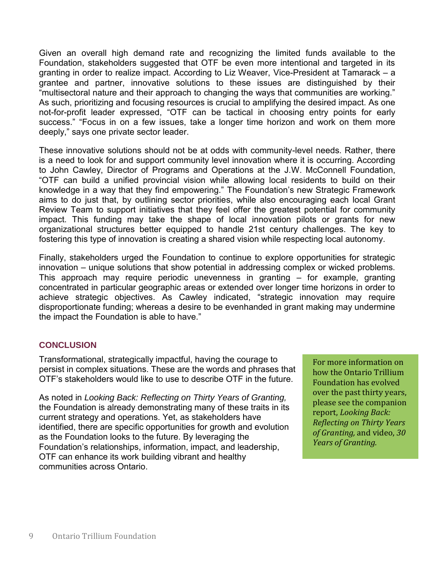Given an overall high demand rate and recognizing the limited funds available to the Foundation, stakeholders suggested that OTF be even more intentional and targeted in its granting in order to realize impact. According to Liz Weaver, Vice-President at Tamarack – a grantee and partner, innovative solutions to these issues are distinguished by their "multisectoral nature and their approach to changing the ways that communities are working." As such, prioritizing and focusing resources is crucial to amplifying the desired impact. As one not-for-profit leader expressed, "OTF can be tactical in choosing entry points for early success." "Focus in on a few issues, take a longer time horizon and work on them more deeply," says one private sector leader.

These innovative solutions should not be at odds with community-level needs. Rather, there is a need to look for and support community level innovation where it is occurring. According to John Cawley, Director of Programs and Operations at the J.W. McConnell Foundation, "OTF can build a unified provincial vision while allowing local residents to build on their knowledge in a way that they find empowering." The Foundation's new Strategic Framework aims to do just that, by outlining sector priorities, while also encouraging each local Grant Review Team to support initiatives that they feel offer the greatest potential for community impact. This funding may take the shape of local innovation pilots or grants for new organizational structures better equipped to handle 21st century challenges. The key to fostering this type of innovation is creating a shared vision while respecting local autonomy.

Finally, stakeholders urged the Foundation to continue to explore opportunities for strategic innovation – unique solutions that show potential in addressing complex or wicked problems. This approach may require periodic unevenness in granting – for example, granting concentrated in particular geographic areas or extended over longer time horizons in order to achieve strategic objectives. As Cawley indicated, "strategic innovation may require disproportionate funding; whereas a desire to be evenhanded in grant making may undermine the impact the Foundation is able to have."

### **CONCLUSION**

Transformational, strategically impactful, having the courage to persist in complex situations. These are the words and phrases that OTF's stakeholders would like to use to describe OTF in the future.

As noted in *Looking Back: Reflecting on Thirty Years of Granting,*  the Foundation is already demonstrating many of these traits in its current strategy and operations. Yet, as stakeholders have identified, there are specific opportunities for growth and evolution as the Foundation looks to the future. By leveraging the Foundation's relationships, information, impact, and leadership, OTF can enhance its work building vibrant and healthy communities across Ontario.

For more information on how the Ontario Trillium Foundation has evolved over the past thirty years, please see the companion report, *Looking Back: Reflecting on Thirty Years of Granting,* and video, *30 Years of Granting.*